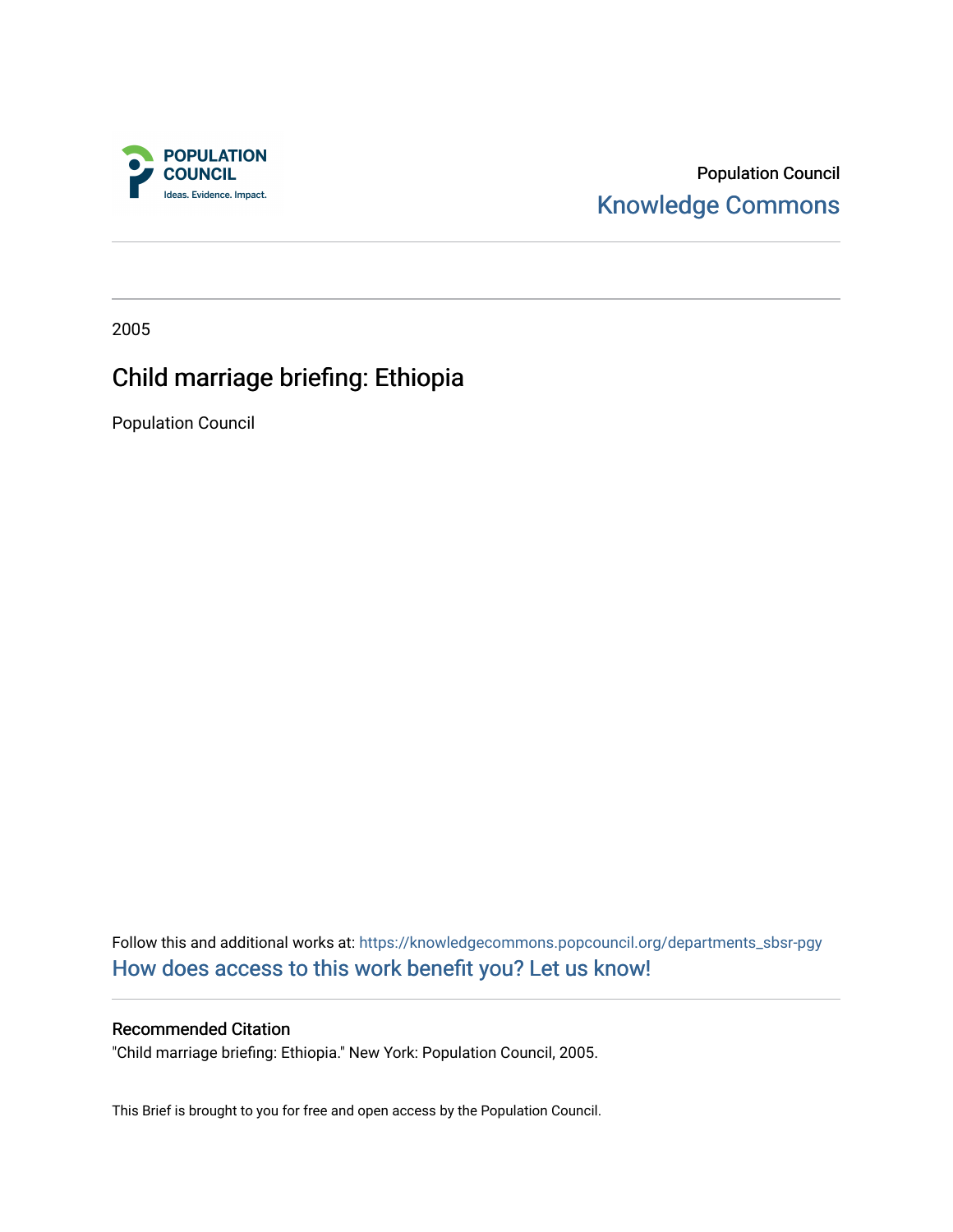

Population Council [Knowledge Commons](https://knowledgecommons.popcouncil.org/) 

2005

# Child marriage briefing: Ethiopia

Population Council

Follow this and additional works at: [https://knowledgecommons.popcouncil.org/departments\\_sbsr-pgy](https://knowledgecommons.popcouncil.org/departments_sbsr-pgy?utm_source=knowledgecommons.popcouncil.org%2Fdepartments_sbsr-pgy%2F1322&utm_medium=PDF&utm_campaign=PDFCoverPages)  [How does access to this work benefit you? Let us know!](https://pcouncil.wufoo.com/forms/open-access-to-population-council-research/)

### Recommended Citation

"Child marriage briefing: Ethiopia." New York: Population Council, 2005.

This Brief is brought to you for free and open access by the Population Council.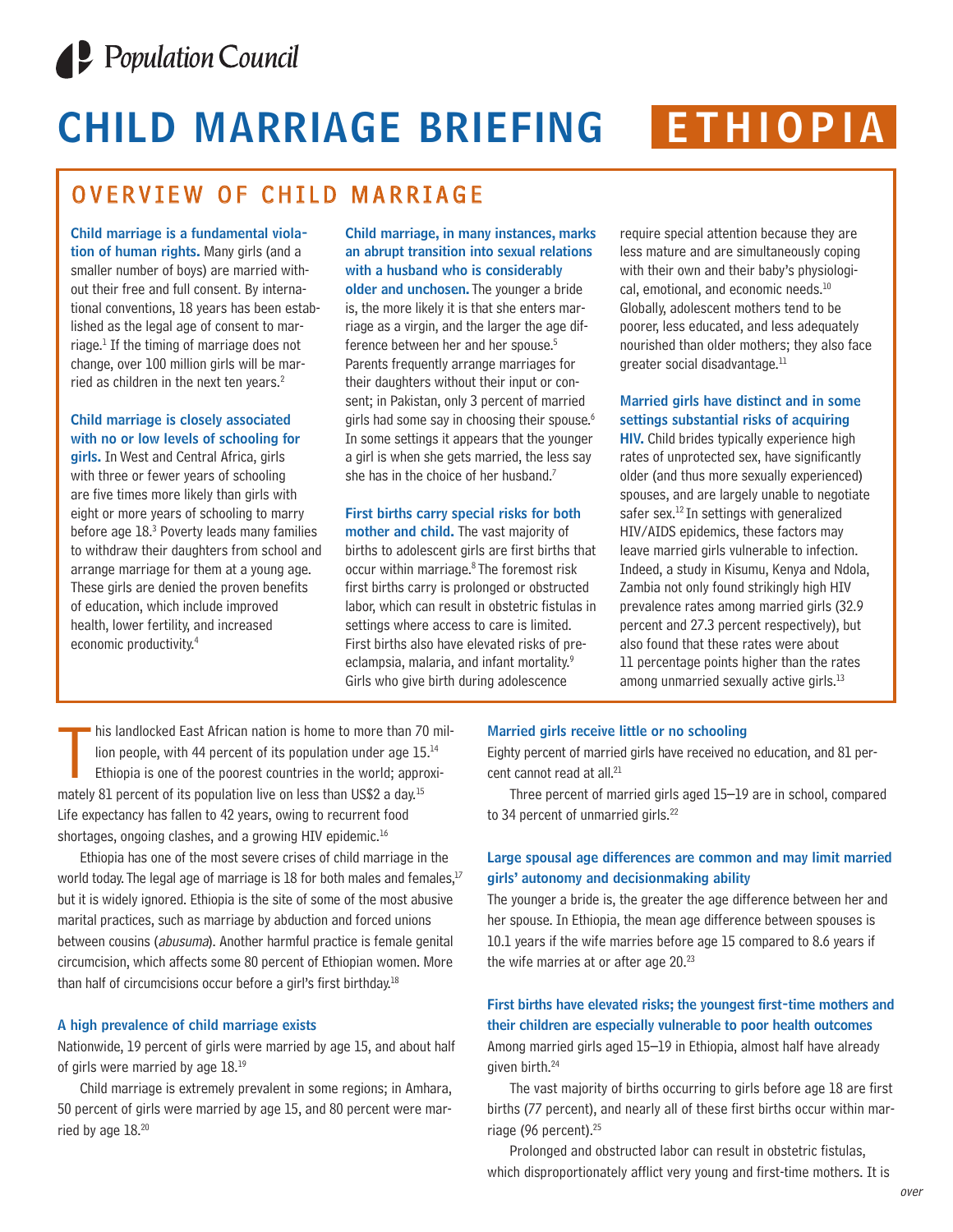

# **CHILD MARRIAGE BRIEFING ETHIOPIA**

## OVERVIEW OF CHILD MARRIAGE

**Child marriage is a fundamental violation of human rights.** Many girls (and a smaller number of boys) are married without their free and full consent. By international conventions, 18 years has been established as the legal age of consent to marriage.1 If the timing of marriage does not change, over 100 million girls will be married as children in the next ten years.<sup>2</sup>

#### **Child marriage is closely associated with no or low levels of schooling for**

**girls.** In West and Central Africa, girls with three or fewer years of schooling are five times more likely than girls with eight or more years of schooling to marry before age 18.3 Poverty leads many families to withdraw their daughters from school and arrange marriage for them at a young age. These girls are denied the proven benefits of education, which include improved health, lower fertility, and increased economic productivity.4

**Child marriage, in many instances, marks an abrupt transition into sexual relations with a husband who is considerably older and unchosen.** The younger a bride is, the more likely it is that she enters marriage as a virgin, and the larger the age difference between her and her spouse.5 Parents frequently arrange marriages for their daughters without their input or consent; in Pakistan, only 3 percent of married girls had some say in choosing their spouse.<sup>6</sup> In some settings it appears that the younger a girl is when she gets married, the less say she has in the choice of her husband.<sup>7</sup>

#### **First births carry special risks for both**

**mother and child.** The vast majority of births to adolescent girls are first births that occur within marriage. <sup>8</sup> The foremost risk first births carry is prolonged or obstructed labor, which can result in obstetric fistulas in settings where access to care is limited. First births also have elevated risks of preeclampsia, malaria, and infant mortality.<sup>9</sup> Girls who give birth during adolescence

require special attention because they are less mature and are simultaneously coping with their own and their baby's physiological, emotional, and economic needs.<sup>10</sup> Globally, adolescent mothers tend to be poorer, less educated, and less adequately nourished than older mothers; they also face greater social disadvantage.<sup>11</sup>

#### **Married girls have distinct and in some settings substantial risks of acquiring**

**HIV.** Child brides typically experience high rates of unprotected sex, have significantly older (and thus more sexually experienced) spouses, and are largely unable to negotiate safer sex.<sup>12</sup> In settings with generalized HIV/AIDS epidemics, these factors may leave married girls vulnerable to infection. Indeed, a study in Kisumu, Kenya and Ndola, Zambia not only found strikingly high HIV prevalence rates among married girls (32.9 percent and 27.3 percent respectively), but also found that these rates were about 11 percentage points higher than the rates among unmarried sexually active girls.<sup>13</sup>

his landlocked East African nation is home to more than 70<br>lion people, with 44 percent of its population under age 15<br>Ethiopia is one of the poorest countries in the world; appr<br>mately 81 percent of its population live on his landlocked East African nation is home to more than 70 million people, with 44 percent of its population under age 15.<sup>14</sup> Ethiopia is one of the poorest countries in the world; approxi-Life expectancy has fallen to 42 years, owing to recurrent food shortages, ongoing clashes, and a growing HIV epidemic.<sup>16</sup>

Ethiopia has one of the most severe crises of child marriage in the world today. The legal age of marriage is 18 for both males and females, $17$ but it is widely ignored. Ethiopia is the site of some of the most abusive marital practices, such as marriage by abduction and forced unions between cousins (abusuma). Another harmful practice is female genital circumcision, which affects some 80 percent of Ethiopian women. More than half of circumcisions occur before a girl's first birthday.18

#### **A high prevalence of child marriage exists**

Nationwide, 19 percent of girls were married by age 15, and about half of girls were married by age 18.<sup>19</sup>

Child marriage is extremely prevalent in some regions; in Amhara, 50 percent of girls were married by age 15, and 80 percent were married by age 18.20

#### **Married girls receive little or no schooling**

Eighty percent of married girls have received no education, and 81 percent cannot read at all.<sup>21</sup>

Three percent of married girls aged 15–19 are in school, compared to 34 percent of unmarried girls.<sup>22</sup>

#### **Large spousal age differences are common and may limit married girls' autonomy and decisionmaking ability**

The younger a bride is, the greater the age difference between her and her spouse. In Ethiopia, the mean age difference between spouses is 10.1 years if the wife marries before age 15 compared to 8.6 years if the wife marries at or after age 20.23

#### **First births have elevated risks; the youngest first-time mothers and their children are especially vulnerable to poor health outcomes** Among married girls aged 15–19 in Ethiopia, almost half have already given birth.24

The vast majority of births occurring to girls before age 18 are first births (77 percent), and nearly all of these first births occur within marriage (96 percent).<sup>25</sup>

Prolonged and obstructed labor can result in obstetric fistulas, which disproportionately afflict very young and first-time mothers. It is